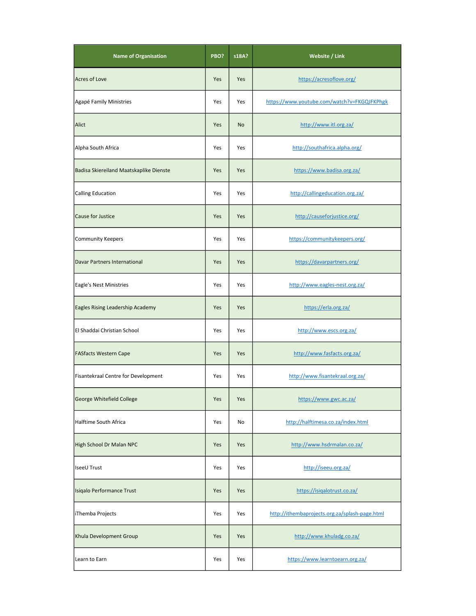| <b>Name of Organisation</b>             | PBO? | s18A? | Website / Link                                 |
|-----------------------------------------|------|-------|------------------------------------------------|
| <b>Acres of Love</b>                    | Yes  | Yes   | https://acresoflove.org/                       |
| Agapé Family Ministries                 | Yes  | Yes   | https://www.youtube.com/watch?v=FKGQJFKPhgk    |
| Alict                                   | Yes  | No    | http://www.itl.org.za/                         |
| Alpha South Africa                      | Yes  | Yes   | http://southafrica.alpha.org/                  |
| Badisa Skiereiland Maatskaplike Dienste | Yes  | Yes   | https://www.badisa.org.za/                     |
| <b>Calling Education</b>                | Yes  | Yes   | http://callingeducation.org.za/                |
| Cause for Justice                       | Yes  | Yes   | http://causeforjustice.org/                    |
| <b>Community Keepers</b>                | Yes  | Yes   | https://communitykeepers.org/                  |
| Davar Partners International            | Yes  | Yes   | https://davarpartners.org/                     |
| Eagle's Nest Ministries                 | Yes  | Yes   | http://www.eagles-nest.org.za/                 |
| Eagles Rising Leadership Academy        | Yes  | Yes   | https://erla.org.za/                           |
| El Shaddai Christian School             | Yes  | Yes   | http://www.escs.org.za/                        |
| <b>FASfacts Western Cape</b>            | Yes  | Yes   | http://www.fasfacts.org.za/                    |
| Fisantekraal Centre for Development     | Yes  | Yes   | http://www.fisantekraal.org.za/                |
| George Whitefield College               | Yes  | Yes   | https://www.gwc.ac.za/                         |
| Halftime South Africa                   | Yes  | No    | http://halftimesa.co.za/index.html             |
| High School Dr Malan NPC                | Yes  | Yes   | http://www.hsdrmalan.co.za/                    |
| <b>IseeU Trust</b>                      | Yes  | Yes   | http://iseeu.org.za/                           |
| Isiqalo Performance Trust               | Yes  | Yes   | https://isigalotrust.co.za/                    |
| iThemba Projects                        | Yes  | Yes   | http://ithembaprojects.org.za/splash-page.html |
| Khula Development Group                 | Yes  | Yes   | http://www.khuladg.co.za/                      |
| Learn to Earn                           | Yes  | Yes   | https://www.learntoearn.org.za/                |